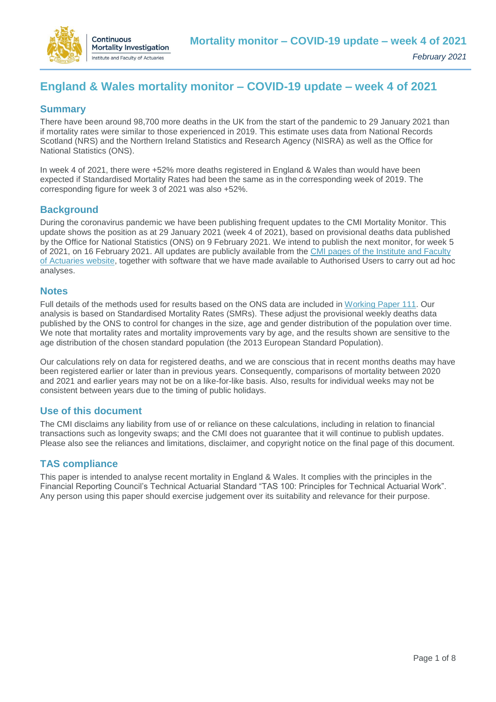

# **England & Wales mortality monitor – COVID-19 update – week 4 of 2021**

# **Summary**

There have been around 98,700 more deaths in the UK from the start of the pandemic to 29 January 2021 than if mortality rates were similar to those experienced in 2019. This estimate uses data from National Records Scotland (NRS) and the Northern Ireland Statistics and Research Agency (NISRA) as well as the Office for National Statistics (ONS).

In week 4 of 2021, there were +52% more deaths registered in England & Wales than would have been expected if Standardised Mortality Rates had been the same as in the corresponding week of 2019. The corresponding figure for week 3 of 2021 was also +52%.

## **Background**

During the coronavirus pandemic we have been publishing frequent updates to the CMI Mortality Monitor. This update shows the position as at 29 January 2021 (week 4 of 2021), based on provisional deaths data published by the Office for National Statistics (ONS) on 9 February 2021. We intend to publish the next monitor, for week 5 of 2021, on 16 February 2021. All updates are publicly available from the [CMI pages of the Institute and Faculty](https://www.actuaries.org.uk/learn-and-develop/continuous-mortality-investigation/other-cmi-outputs/mortality-monitor)  [of Actuaries website,](https://www.actuaries.org.uk/learn-and-develop/continuous-mortality-investigation/other-cmi-outputs/mortality-monitor) together with software that we have made available to Authorised Users to carry out ad hoc analyses.

#### **Notes**

Full details of the methods used for results based on the ONS data are included in [Working Paper 111.](https://www.actuaries.org.uk/learn-and-develop/continuous-mortality-investigation/cmi-working-papers/mortality-projections/cmi-working-paper-111) Our analysis is based on Standardised Mortality Rates (SMRs). These adjust the provisional weekly deaths data published by the ONS to control for changes in the size, age and gender distribution of the population over time. We note that mortality rates and mortality improvements vary by age, and the results shown are sensitive to the age distribution of the chosen standard population (the 2013 European Standard Population).

Our calculations rely on data for registered deaths, and we are conscious that in recent months deaths may have been registered earlier or later than in previous years. Consequently, comparisons of mortality between 2020 and 2021 and earlier years may not be on a like-for-like basis. Also, results for individual weeks may not be consistent between years due to the timing of public holidays.

### **Use of this document**

The CMI disclaims any liability from use of or reliance on these calculations, including in relation to financial transactions such as longevity swaps; and the CMI does not guarantee that it will continue to publish updates. Please also see the reliances and limitations, disclaimer, and copyright notice on the final page of this document.

### **TAS compliance**

This paper is intended to analyse recent mortality in England & Wales. It complies with the principles in the Financial Reporting Council's Technical Actuarial Standard "TAS 100: Principles for Technical Actuarial Work". Any person using this paper should exercise judgement over its suitability and relevance for their purpose.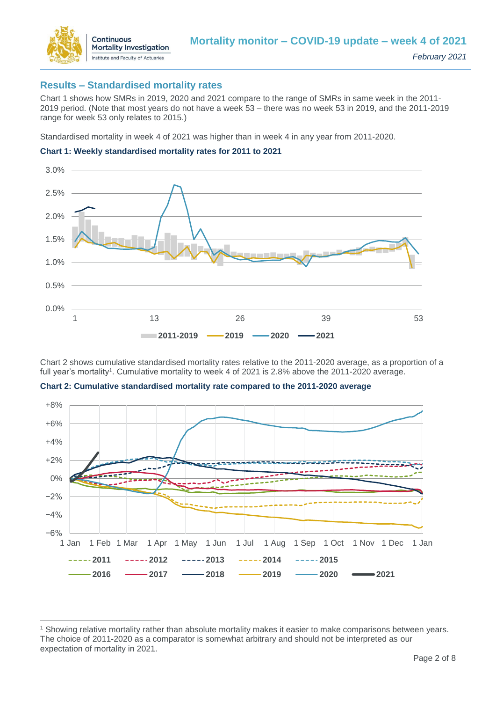

 $\overline{a}$ 

### **Results – Standardised mortality rates**

Chart 1 shows how SMRs in 2019, 2020 and 2021 compare to the range of SMRs in same week in the 2011- 2019 period. (Note that most years do not have a week 53 – there was no week 53 in 2019, and the 2011-2019 range for week 53 only relates to 2015.)

Standardised mortality in week 4 of 2021 was higher than in week 4 in any year from 2011-2020.





Chart 2 shows cumulative standardised mortality rates relative to the 2011-2020 average, as a proportion of a full year's mortality<sup>1</sup>. Cumulative mortality to week 4 of 2021 is 2.8% above the 2011-2020 average.



**Chart 2: Cumulative standardised mortality rate compared to the 2011-2020 average**

<sup>1</sup> Showing relative mortality rather than absolute mortality makes it easier to make comparisons between years. The choice of 2011-2020 as a comparator is somewhat arbitrary and should not be interpreted as our expectation of mortality in 2021.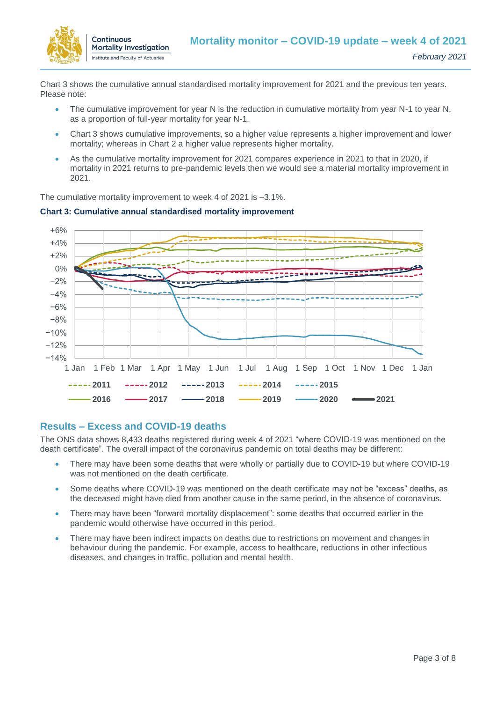

Chart 3 shows the cumulative annual standardised mortality improvement for 2021 and the previous ten years. Please note:

- The cumulative improvement for year N is the reduction in cumulative mortality from year N-1 to year N, as a proportion of full-year mortality for year N-1.
- Chart 3 shows cumulative improvements, so a higher value represents a higher improvement and lower mortality; whereas in Chart 2 a higher value represents higher mortality.
- As the cumulative mortality improvement for 2021 compares experience in 2021 to that in 2020, if mortality in 2021 returns to pre-pandemic levels then we would see a material mortality improvement in 2021.

The cumulative mortality improvement to week 4 of 2021 is –3.1%.



#### **Chart 3: Cumulative annual standardised mortality improvement**

### **Results – Excess and COVID-19 deaths**

The ONS data shows 8,433 deaths registered during week 4 of 2021 "where COVID-19 was mentioned on the death certificate". The overall impact of the coronavirus pandemic on total deaths may be different:

- There may have been some deaths that were wholly or partially due to COVID-19 but where COVID-19 was not mentioned on the death certificate.
- Some deaths where COVID-19 was mentioned on the death certificate may not be "excess" deaths, as the deceased might have died from another cause in the same period, in the absence of coronavirus.
- There may have been "forward mortality displacement": some deaths that occurred earlier in the pandemic would otherwise have occurred in this period.
- There may have been indirect impacts on deaths due to restrictions on movement and changes in behaviour during the pandemic. For example, access to healthcare, reductions in other infectious diseases, and changes in traffic, pollution and mental health.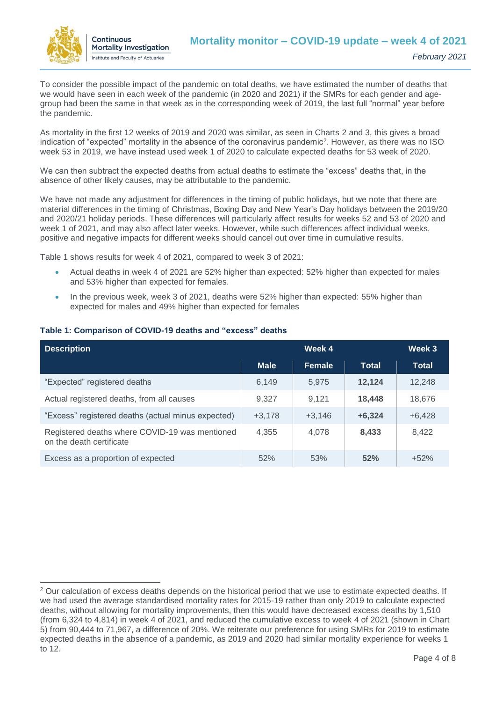

 $\overline{a}$ 

To consider the possible impact of the pandemic on total deaths, we have estimated the number of deaths that we would have seen in each week of the pandemic (in 2020 and 2021) if the SMRs for each gender and agegroup had been the same in that week as in the corresponding week of 2019, the last full "normal" year before the pandemic.

As mortality in the first 12 weeks of 2019 and 2020 was similar, as seen in Charts 2 and 3, this gives a broad indication of "expected" mortality in the absence of the coronavirus pandemic<sup>2</sup>. However, as there was no ISO week 53 in 2019, we have instead used week 1 of 2020 to calculate expected deaths for 53 week of 2020.

We can then subtract the expected deaths from actual deaths to estimate the "excess" deaths that, in the absence of other likely causes, may be attributable to the pandemic.

We have not made any adjustment for differences in the timing of public holidays, but we note that there are material differences in the timing of Christmas, Boxing Day and New Year's Day holidays between the 2019/20 and 2020/21 holiday periods. These differences will particularly affect results for weeks 52 and 53 of 2020 and week 1 of 2021, and may also affect later weeks. However, while such differences affect individual weeks, positive and negative impacts for different weeks should cancel out over time in cumulative results.

Table 1 shows results for week 4 of 2021, compared to week 3 of 2021:

- Actual deaths in week 4 of 2021 are 52% higher than expected: 52% higher than expected for males and 53% higher than expected for females.
- In the previous week, week 3 of 2021, deaths were 52% higher than expected: 55% higher than expected for males and 49% higher than expected for females

| <b>Description</b>                                                         | Week 4      |          |          | Week 3   |
|----------------------------------------------------------------------------|-------------|----------|----------|----------|
|                                                                            | <b>Male</b> | Female   | Total    | Total    |
| "Expected" registered deaths                                               | 6,149       | 5.975    | 12,124   | 12,248   |
| Actual registered deaths, from all causes                                  | 9.327       | 9.121    | 18.448   | 18,676   |
| "Excess" registered deaths (actual minus expected)                         | $+3,178$    | $+3,146$ | $+6,324$ | $+6,428$ |
| Registered deaths where COVID-19 was mentioned<br>on the death certificate | 4,355       | 4,078    | 8,433    | 8,422    |
| Excess as a proportion of expected                                         | 52%         | 53%      | 52%      | $+52%$   |

#### **Table 1: Comparison of COVID-19 deaths and "excess" deaths**

<sup>&</sup>lt;sup>2</sup> Our calculation of excess deaths depends on the historical period that we use to estimate expected deaths. If we had used the average standardised mortality rates for 2015-19 rather than only 2019 to calculate expected deaths, without allowing for mortality improvements, then this would have decreased excess deaths by 1,510 (from 6,324 to 4,814) in week 4 of 2021, and reduced the cumulative excess to week 4 of 2021 (shown in Chart 5) from 90,444 to 71,967, a difference of 20%. We reiterate our preference for using SMRs for 2019 to estimate expected deaths in the absence of a pandemic, as 2019 and 2020 had similar mortality experience for weeks 1 to 12.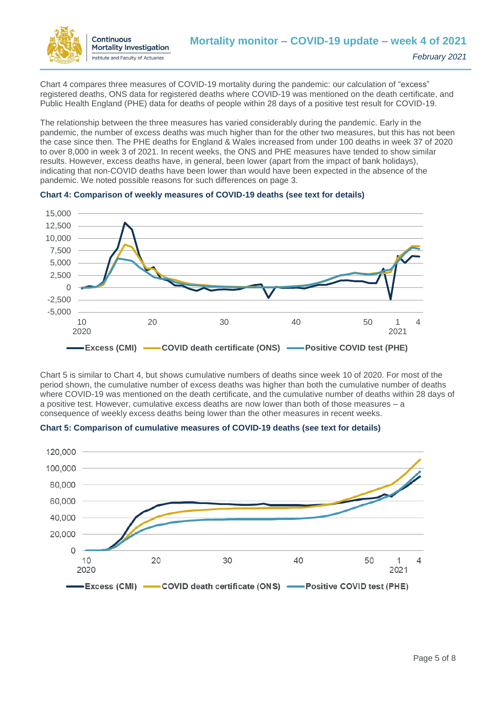

Chart 4 compares three measures of COVID-19 mortality during the pandemic: our calculation of "excess" registered deaths, ONS data for registered deaths where COVID-19 was mentioned on the death certificate, and Public Health England (PHE) data for deaths of people within 28 days of a positive test result for COVID-19.

The relationship between the three measures has varied considerably during the pandemic. Early in the pandemic, the number of excess deaths was much higher than for the other two measures, but this has not been the case since then. The PHE deaths for England & Wales increased from under 100 deaths in week 37 of 2020 to over 8,000 in week 3 of 2021. In recent weeks, the ONS and PHE measures have tended to show similar results. However, excess deaths have, in general, been lower (apart from the impact of bank holidays), indicating that non-COVID deaths have been lower than would have been expected in the absence of the pandemic. We noted possible reasons for such differences on page 3.





Chart 5 is similar to Chart 4, but shows cumulative numbers of deaths since week 10 of 2020. For most of the period shown, the cumulative number of excess deaths was higher than both the cumulative number of deaths where COVID-19 was mentioned on the death certificate, and the cumulative number of deaths within 28 days of a positive test. However, cumulative excess deaths are now lower than both of those measures – a consequence of weekly excess deaths being lower than the other measures in recent weeks.



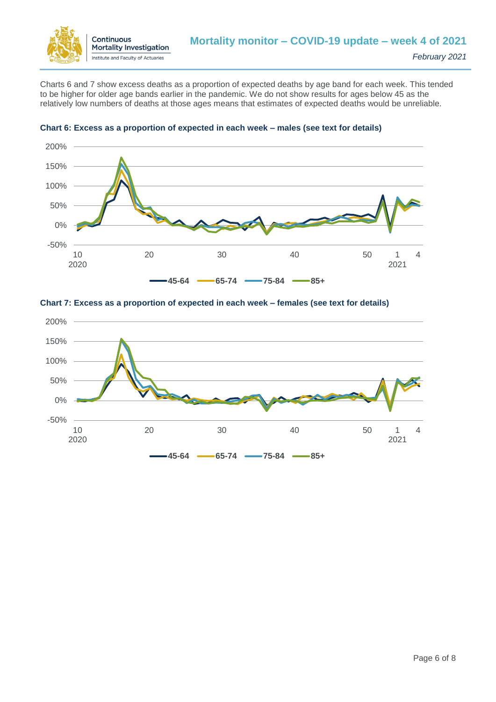

Charts 6 and 7 show excess deaths as a proportion of expected deaths by age band for each week. This tended to be higher for older age bands earlier in the pandemic. We do not show results for ages below 45 as the relatively low numbers of deaths at those ages means that estimates of expected deaths would be unreliable.



#### **Chart 6: Excess as a proportion of expected in each week – males (see text for details)**



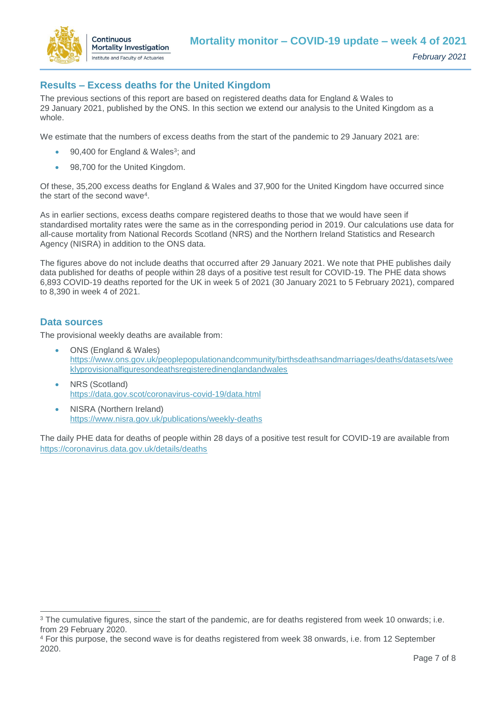

# **Results – Excess deaths for the United Kingdom**

The previous sections of this report are based on registered deaths data for England & Wales to 29 January 2021, published by the ONS. In this section we extend our analysis to the United Kingdom as a whole.

We estimate that the numbers of excess deaths from the start of the pandemic to 29 January 2021 are:

- 90,400 for England & Wales<sup>3</sup>; and
- 98,700 for the United Kingdom.

Of these, 35,200 excess deaths for England & Wales and 37,900 for the United Kingdom have occurred since the start of the second wave<sup>4</sup>.

As in earlier sections, excess deaths compare registered deaths to those that we would have seen if standardised mortality rates were the same as in the corresponding period in 2019. Our calculations use data for all-cause mortality from National Records Scotland (NRS) and the Northern Ireland Statistics and Research Agency (NISRA) in addition to the ONS data.

The figures above do not include deaths that occurred after 29 January 2021. We note that PHE publishes daily data published for deaths of people within 28 days of a positive test result for COVID-19. The PHE data shows 6,893 COVID-19 deaths reported for the UK in week 5 of 2021 (30 January 2021 to 5 February 2021), compared to 8,390 in week 4 of 2021.

#### **Data sources**

 $\overline{a}$ 

The provisional weekly deaths are available from:

- ONS (England & Wales) [https://www.ons.gov.uk/peoplepopulationandcommunity/birthsdeathsandmarriages/deaths/datasets/wee](https://www.ons.gov.uk/peoplepopulationandcommunity/birthsdeathsandmarriages/deaths/datasets/weeklyprovisionalfiguresondeathsregisteredinenglandandwales) [klyprovisionalfiguresondeathsregisteredinenglandandwales](https://www.ons.gov.uk/peoplepopulationandcommunity/birthsdeathsandmarriages/deaths/datasets/weeklyprovisionalfiguresondeathsregisteredinenglandandwales)
- NRS (Scotland) <https://data.gov.scot/coronavirus-covid-19/data.html>
- NISRA (Northern Ireland) <https://www.nisra.gov.uk/publications/weekly-deaths>

The daily PHE data for deaths of people within 28 days of a positive test result for COVID-19 are available from <https://coronavirus.data.gov.uk/details/deaths>

<sup>&</sup>lt;sup>3</sup> The cumulative figures, since the start of the pandemic, are for deaths registered from week 10 onwards; i.e. from 29 February 2020.

<sup>4</sup> For this purpose, the second wave is for deaths registered from week 38 onwards, i.e. from 12 September 2020.